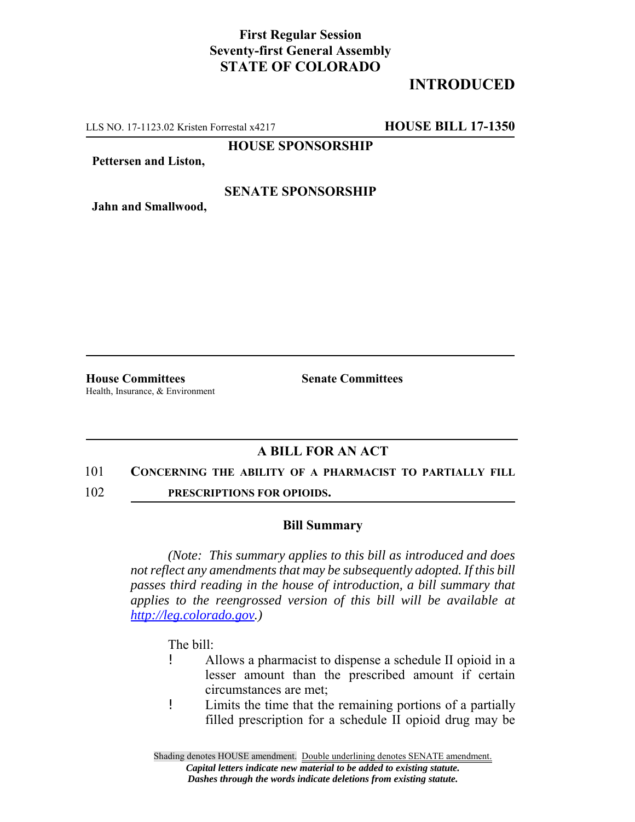# **First Regular Session Seventy-first General Assembly STATE OF COLORADO**

# **INTRODUCED**

LLS NO. 17-1123.02 Kristen Forrestal x4217 **HOUSE BILL 17-1350**

**HOUSE SPONSORSHIP**

**Pettersen and Liston,**

### **SENATE SPONSORSHIP**

**Jahn and Smallwood,**

**House Committees Senate Committees** Health, Insurance, & Environment

## **A BILL FOR AN ACT**

#### 101 **CONCERNING THE ABILITY OF A PHARMACIST TO PARTIALLY FILL**

102 **PRESCRIPTIONS FOR OPIOIDS.**

### **Bill Summary**

*(Note: This summary applies to this bill as introduced and does not reflect any amendments that may be subsequently adopted. If this bill passes third reading in the house of introduction, a bill summary that applies to the reengrossed version of this bill will be available at http://leg.colorado.gov.)*

The bill:

- ! Allows a pharmacist to dispense a schedule II opioid in a lesser amount than the prescribed amount if certain circumstances are met;
- ! Limits the time that the remaining portions of a partially filled prescription for a schedule II opioid drug may be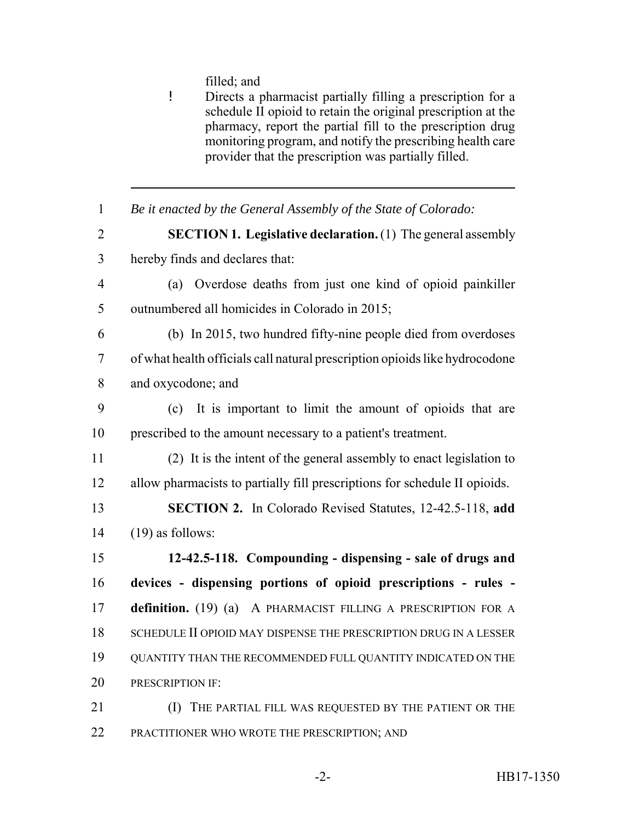filled; and

- ! Directs a pharmacist partially filling a prescription for a schedule II opioid to retain the original prescription at the pharmacy, report the partial fill to the prescription drug monitoring program, and notify the prescribing health care provider that the prescription was partially filled.
- *Be it enacted by the General Assembly of the State of Colorado:* **SECTION 1. Legislative declaration.** (1) The general assembly hereby finds and declares that: (a) Overdose deaths from just one kind of opioid painkiller outnumbered all homicides in Colorado in 2015; (b) In 2015, two hundred fifty-nine people died from overdoses of what health officials call natural prescription opioids like hydrocodone and oxycodone; and (c) It is important to limit the amount of opioids that are prescribed to the amount necessary to a patient's treatment. (2) It is the intent of the general assembly to enact legislation to allow pharmacists to partially fill prescriptions for schedule II opioids. **SECTION 2.** In Colorado Revised Statutes, 12-42.5-118, **add** (19) as follows: **12-42.5-118. Compounding - dispensing - sale of drugs and devices - dispensing portions of opioid prescriptions - rules - definition.** (19) (a) A PHARMACIST FILLING A PRESCRIPTION FOR A SCHEDULE II OPIOID MAY DISPENSE THE PRESCRIPTION DRUG IN A LESSER QUANTITY THAN THE RECOMMENDED FULL QUANTITY INDICATED ON THE 20 PRESCRIPTION IF (I) THE PARTIAL FILL WAS REQUESTED BY THE PATIENT OR THE PRACTITIONER WHO WROTE THE PRESCRIPTION; AND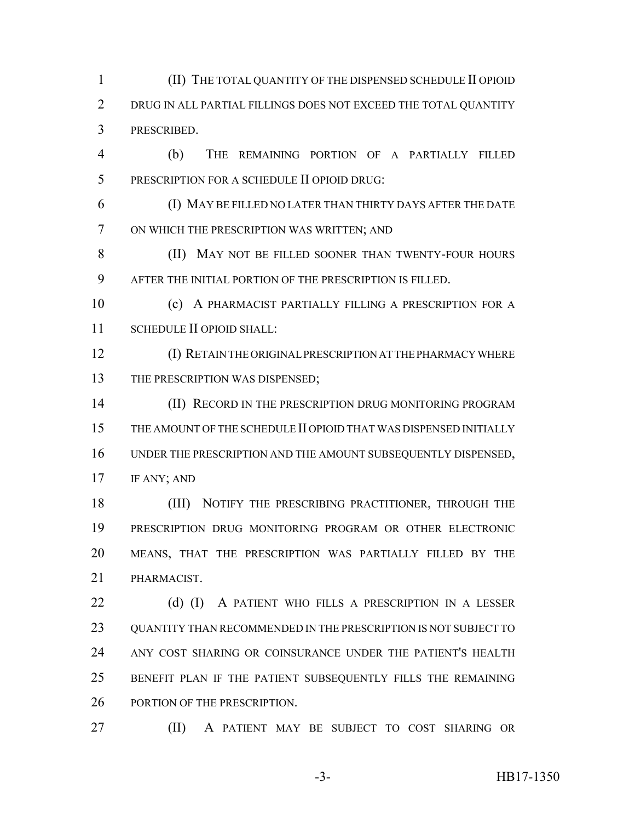(II) THE TOTAL QUANTITY OF THE DISPENSED SCHEDULE II OPIOID DRUG IN ALL PARTIAL FILLINGS DOES NOT EXCEED THE TOTAL QUANTITY PRESCRIBED.

 (b) THE REMAINING PORTION OF A PARTIALLY FILLED PRESCRIPTION FOR A SCHEDULE II OPIOID DRUG:

 (I) MAY BE FILLED NO LATER THAN THIRTY DAYS AFTER THE DATE ON WHICH THE PRESCRIPTION WAS WRITTEN; AND

8 (II) MAY NOT BE FILLED SOONER THAN TWENTY-FOUR HOURS AFTER THE INITIAL PORTION OF THE PRESCRIPTION IS FILLED.

 (c) A PHARMACIST PARTIALLY FILLING A PRESCRIPTION FOR A SCHEDULE II OPIOID SHALL:

 (I) RETAIN THE ORIGINAL PRESCRIPTION AT THE PHARMACY WHERE 13 THE PRESCRIPTION WAS DISPENSED;

**(II) RECORD IN THE PRESCRIPTION DRUG MONITORING PROGRAM**  THE AMOUNT OF THE SCHEDULE II OPIOID THAT WAS DISPENSED INITIALLY UNDER THE PRESCRIPTION AND THE AMOUNT SUBSEQUENTLY DISPENSED, IF ANY; AND

18 (III) NOTIFY THE PRESCRIBING PRACTITIONER, THROUGH THE PRESCRIPTION DRUG MONITORING PROGRAM OR OTHER ELECTRONIC MEANS, THAT THE PRESCRIPTION WAS PARTIALLY FILLED BY THE PHARMACIST.

22 (d) (I) A PATIENT WHO FILLS A PRESCRIPTION IN A LESSER 23 OUANTITY THAN RECOMMENDED IN THE PRESCRIPTION IS NOT SUBJECT TO ANY COST SHARING OR COINSURANCE UNDER THE PATIENT'S HEALTH BENEFIT PLAN IF THE PATIENT SUBSEQUENTLY FILLS THE REMAINING 26 PORTION OF THE PRESCRIPTION.

(II) A PATIENT MAY BE SUBJECT TO COST SHARING OR